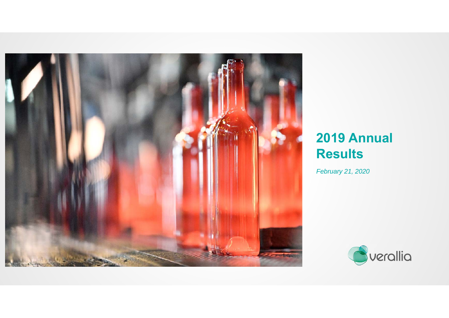

# **2019 Annual Results**

*February 21, 2020*

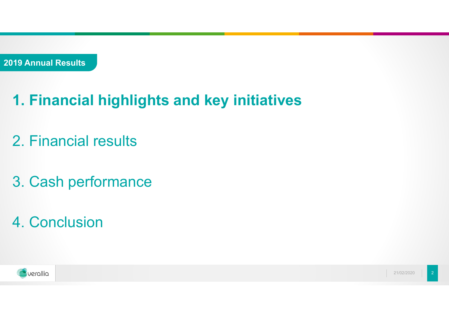# **1. Financial highlights and key initiatives**

- 2. Financial results
- 3. Cash performance
- 4. Conclusion

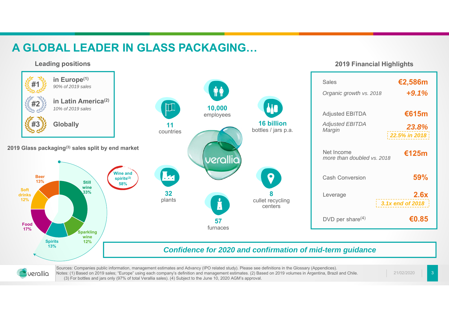## **A GLOBAL LEADER IN GLASS PACKAGING…**

**2019 Financial Highlights**



verallia

**Leading positions**

Sources: Companies public information, management estimates and Advancy (IPO related study). Please see definitions in the Glossary (Appendices). Notes: (1) Based on 2019 sales; "Europe" using each company's definition and management estimates. (2) Based on 2019 volumes in Argentina, Brazil and Chile. (3) For bottles and jars only (97% of total Verallia sales). (4) Subject to the June 10, 2020 AGM's approval.

3 21/02/2020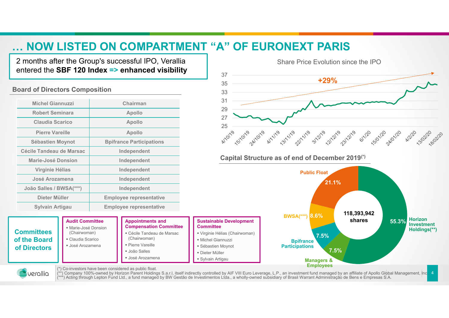#### **… NOW LISTED ON COMPARTMENT "A" OF EURONEXT PARIS**

2 months after the Group's successful IPO, Verallia entered the **SBF 120 Index => enhanced visibility** 

#### **Board of Directors Composition**

verallia

| <b>Michel Giannuzzi</b>   | Chairman                        |
|---------------------------|---------------------------------|
|                           |                                 |
| <b>Robert Seminara</b>    | <b>Apollo</b>                   |
| Claudia Scarico           | <b>Apollo</b>                   |
| <b>Pierre Vareille</b>    | <b>Apollo</b>                   |
| <b>Sébastien Moynot</b>   | <b>Bpifrance Participations</b> |
| Cécile Tandeau de Marsac  | Independent                     |
| <b>Marie-José Donsion</b> | Independent                     |
| Virginie Hélias           | Independent                     |
| José Arozamena            | Independent                     |
| João Salles / BWSA(***)   | Independent                     |
| Dieter Müller             | <b>Employee representative</b>  |
| <b>Sylvain Artigau</b>    | <b>Employee representative</b>  |

#### Share Price Evolution since the IPO37**+29%**3533312927252211/19 **911/1919 ISLICITO 12-10-01-01 9 AIMIN9** 09 11/19 **9 12119** AI/OI19 2311219 10 1/2/20 24/01/20 GIVI20 A12120 13/02/20 02/20

**Capital Structure as of end of December 2019(\*)**



(\*\*\*) Acting through Lepton Fund Ltd., a fund managed by BW Gestão de Investimentos Ltda., a wholly-owned subsidiary of Brasil Warrant Administração de Bens e Empresas S.A.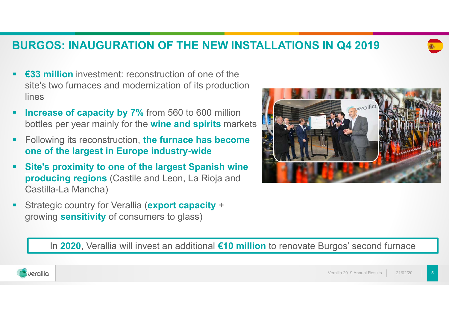#### **BURGOS: INAUGURATION OF THE NEW INSTALLATIONS IN Q4 2019**

- П ■ **€33 million** investment: reconstruction of one of the site's two furnaces and modernization of its production lines
- **Increase of capacity by 7%** from 560 to 600 million bottles per year mainly for the **wine and spirits** markets
- $\mathcal{L}_{\mathcal{A}}$  Following its reconstruction, **the furnace has become one of the largest in Europe industry-wide**
- **Site's proximity to one of the largest Spanish wine producing regions** (Castile and Leon, La Rioja and Castilla-La Mancha)
- г Strategic country for Verallia (**export capacity** <sup>+</sup> growing **sensitivity** of consumers to glass)



In **2020**, Verallia will invest an additional **€10 million** to renovate Burgos' second furnace

verallia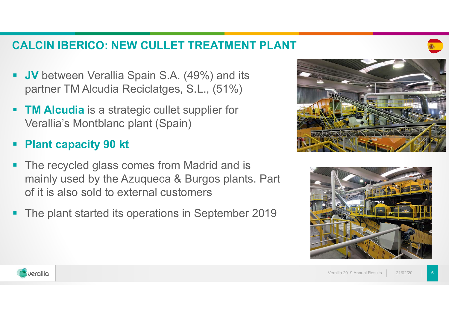#### **CALCIN IBERICO: NEW CULLET TREATMENT PLANT**

- $\blacksquare$ **JV** between Verallia Spain S.A. (49%) and its partner TM Alcudia Reciclatges, S.L., (51%)
- $\mathcal{L}_{\mathcal{A}}$ **TM Alcudia** is a strategic cullet supplier for Verallia's Montblanc plant (Spain)
- T. **Plant capacity 90 kt**

verallia

- $\mathcal{L}_{\mathcal{A}}$  The recycled glass comes from Madrid and is mainly used by the Azuqueca & Burgos plants. Part of it is also sold to external customers
- T. The plant started its operations in September 2019





21/02/20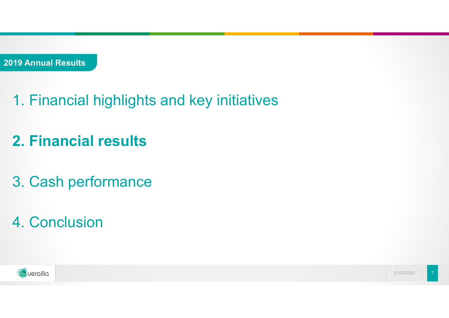- 1. Financial highlights and key initiatives
- **2. Financial results**
- 3. Cash performance
- 4. Conclusion

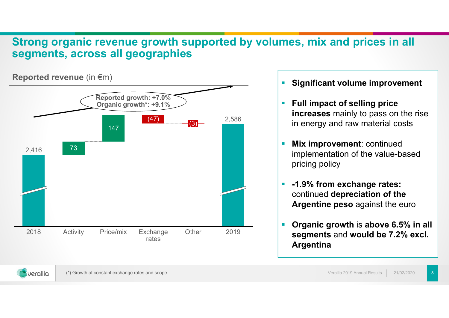#### **Strong organic revenue growth supported by volumes, mix and prices in all segments, across all geographies**

#### **Reported revenue** (in €m)



- П **Significant volume improvement**
- $\mathcal{L}_{\mathcal{A}}$  **Full impact of selling price increases** mainly to pass on the rise in energy and raw material costs
- П **Mix improvement**: continued implementation of the value-based pricing policy
- П **-1.9% from exchange rates:**  continued **depreciation of the Argentine peso** against the euro
- П **Organic growth** is **above 6.5% in all segments** and **would be 7.2% excl. Argentina**

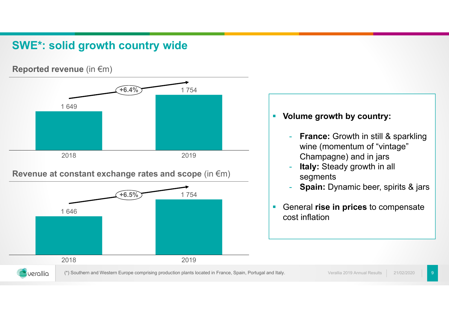## **SWE\*: solid growth country wide**

**Reported revenue** (in €m)





 **Italy:** Steady growth in all segments

Champagne) and in jars

**Spain:** Dynamic beer, spirits & jars

Verallia 2019 Annual Results 21/02/2020

9

 $\mathcal{L}_{\mathcal{A}}$  General **rise in prices** to compensate cost inflation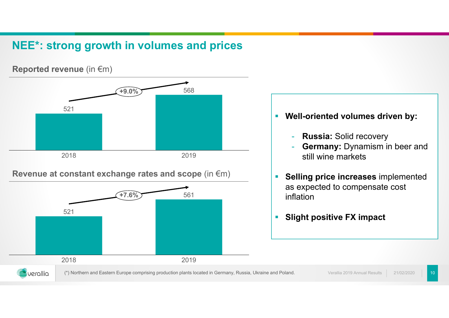## **NEE\*: strong growth in volumes and prices**

**Reported revenue** (in €m)

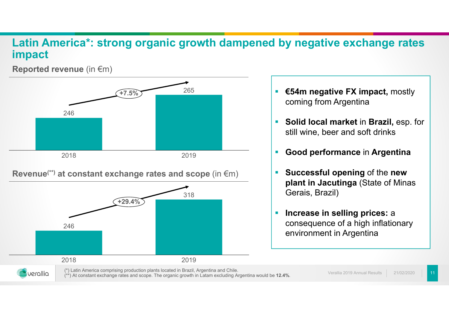#### **Latin America\*: strong organic growth dampened by negative exchange rates impact**

**Reported revenue** (in €m)



(\*\*) At constant exchange rates and scope. The organic growth in Latam excluding Argentina would be **12.4%**.

- $\mathbf{r}$  **€54m negative FX impact,** mostly coming from Argentina
- $\mathcal{L}_{\mathcal{A}}$  **Solid local market** in **Brazil,** esp. for still wine, beer and soft drinks
- **C Good performance** in **Argentina**
- $\mathcal{L}_{\mathcal{A}}$  **Successful opening** of the **new plant in Jacutinga** (State of Minas Gerais, Brazil)
- $\mathcal{L}_{\mathcal{A}}$  **Increase in selling prices:** <sup>a</sup> consequence of a high inflationary environment in Argentina

Verallia 2019 Annual Results 21/02/2020

11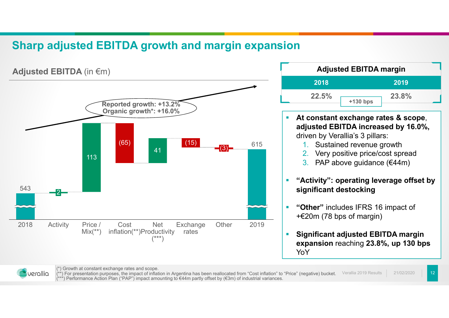## **Sharp adjusted EBITDA growth and margin expansion**





(\*) Growth at constant exchange rates and scope. (\*\*) For presentation purposes, the impact of inflation in Argentina has been reallocated from "Cost inflation" to "Price" (negative) bucket. (\*\*\*) Performance Action Plan ("PAP") impact amounting to €44m partly offset by (€3m) of industrial variances. Verallia 2019 Results21/02/2020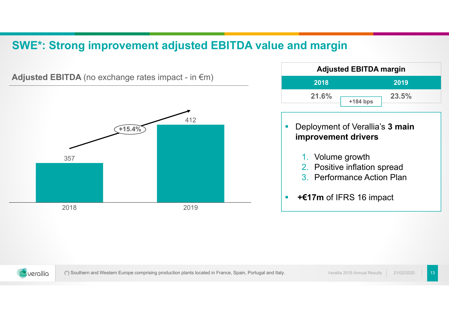### **SWE\*: Strong improvement adjusted EBITDA value and margin**



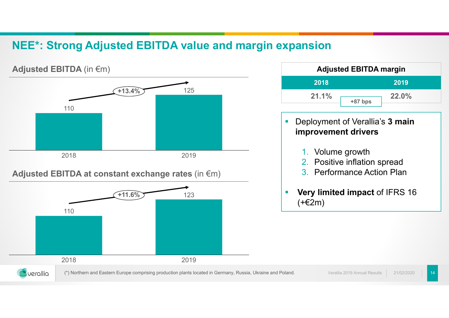#### **NEE\*: Strong Adjusted EBITDA value and margin expansion**

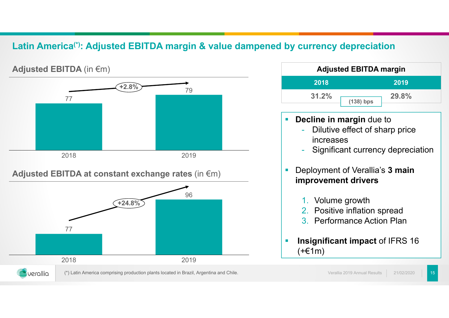#### **Latin America(\*): Adjusted EBITDA margin & value dampened by currency depreciation**



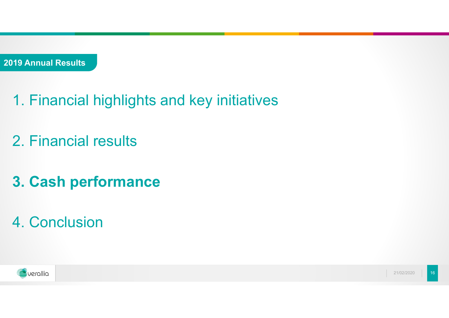- 1. Financial highlights and key initiatives
- 2. Financial results
- **3. Cash performance**
- 4. Conclusion

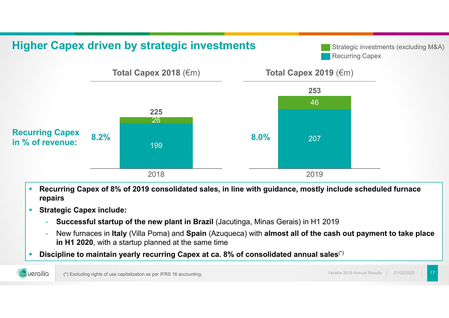

- $\mathcal{L}_{\mathcal{A}}$  **Recurring Capex of 8% of 2019 consolidated sales, in line with guidance, mostly include scheduled furnace repairs**
- $\mathcal{L}_{\mathcal{A}}$  **Strategic Capex include:**
	- -**Successful startup of the new plant in Brazil** (Jacutinga, Minas Gerais) in H1 2019
	- New furnaces in **Italy** (Villa Poma) and **Spain** (Azuqueca) with **almost all of the cash out payment to take place in H1 2020**, with a startup planned at the same time
- $\mathcal{L}_{\mathcal{A}}$ **Discipline to maintain yearly recurring Capex at ca. 8% of consolidated annual sales**(\*)

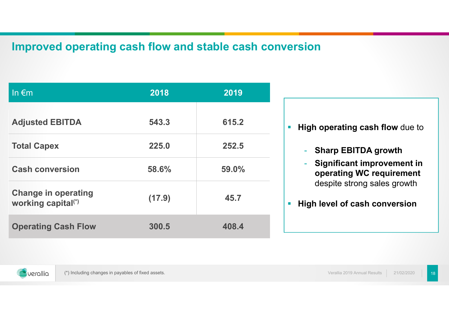#### **Improved operating cash flow and stable cash conversion**

| In $\epsilon$ m                                              | 2018   | 2019  |
|--------------------------------------------------------------|--------|-------|
| <b>Adjusted EBITDA</b>                                       | 543.3  | 615.2 |
| <b>Total Capex</b>                                           | 225.0  | 252.5 |
| <b>Cash conversion</b>                                       | 58.6%  | 59.0% |
| <b>Change in operating</b><br>working capital <sup>(*)</sup> | (17.9) | 45.7  |
| <b>Operating Cash Flow</b>                                   | 300.5  | 408.4 |

**High operating cash flow** due to

 $\overline{\phantom{a}}$ 

- -**Sharp EBITDA growth**
- **Significant improvement in operating WC requirement**  despite strong sales growth
- $\blacksquare$ **High level of cash conversion**



18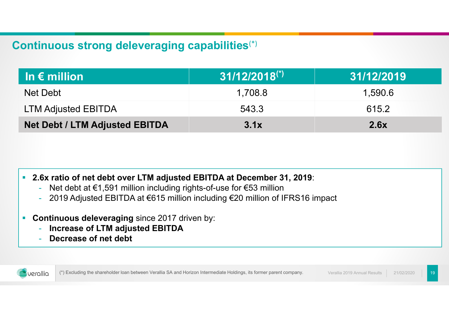## **Continuous strong deleveraging capabilities**(\*)

| $\vert\,\,\vert$ n $\,\,\in$ million  | $31/12/2018$ <sup>(*)</sup> | 31/12/2019 |
|---------------------------------------|-----------------------------|------------|
| Net Debt                              | 1,708.8                     | 1,590.6    |
| <b>LTM Adjusted EBITDA</b>            | 543.3                       | 615.2      |
| <b>Net Debt / LTM Adjusted EBITDA</b> | 3.1x                        | 2.6x       |

- **2.6x ratio of net debt over LTM adjusted EBITDA at December 31, 2019**:
	- -Net debt at €1,591 million including rights-of-use for €53 million
	- -2019 Adjusted EBITDA at €615 million including €20 million of IFRS16 impact
- $\mathbf{r}$  **Continuous deleveraging** since 2017 driven by:
	- -**Increase of LTM adjusted EBITDA**
	- **Decrease of net debt**



(\*) Excluding the shareholder loan between Verallia SA and Horizon Intermediate Holdings, its former parent company. Verallia 2019 Annual Results 21/02/2020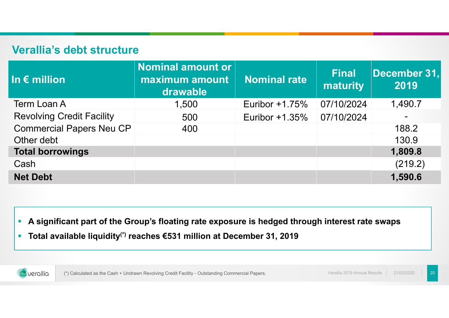#### **Verallia's debt structure**

| In $\epsilon$ million            | Nominal amount or<br>maximum amount<br>drawable | Nominal rate      | <b>Final</b><br>maturity | December 31,<br>2019 |
|----------------------------------|-------------------------------------------------|-------------------|--------------------------|----------------------|
| <b>Term Loan A</b>               | 1,500                                           | Euribor $+1.75%$  | 07/10/2024               | 1,490.7              |
| <b>Revolving Credit Facility</b> | 500                                             | Euribor $+1.35\%$ | 07/10/2024               | $\blacksquare$       |
| <b>Commercial Papers Neu CP</b>  | 400                                             |                   |                          | 188.2                |
| Other debt                       |                                                 |                   |                          | 130.9                |
| <b>Total borrowings</b>          |                                                 |                   |                          | 1,809.8              |
| Cash                             |                                                 |                   |                          | (219.2)              |
| <b>Net Debt</b>                  |                                                 |                   |                          | 1,590.6              |

 $\blacksquare$ **A significant part of the Group's floating rate exposure is hedged through interest rate swaps**

 $\blacksquare$ **Total available liquidity(\*) reaches €531 million at December 31, 2019**

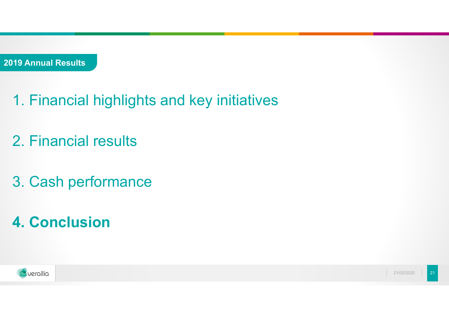- 1. Financial highlights and key initiatives
- 2. Financial results
- 3. Cash performance
- **4. Conclusion**

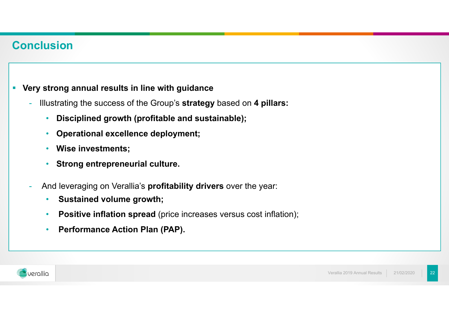## **Conclusion**

× **Very strong annual results in line with guidance**

- Illustrating the success of the Group's **strategy** based on **4 pillars:**
	- **Disciplined growth (profitable and sustainable);**
	- $\bullet$ **Operational excellence deployment;**
	- $\bullet$ **Wise investments;**
	- $\bullet$ **Strong entrepreneurial culture.**
- And leveraging on Verallia's **profitability drivers** over the year:
	- •**Sustained volume growth;**
	- •**Positive inflation spread** (price increases versus cost inflation);
	- •**Performance Action Plan (PAP).**

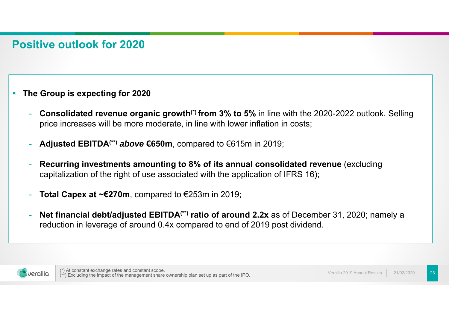### **Positive outlook for 2020**

#### $\mathcal{L}_{\mathcal{A}}$ **The Group is expecting for 2020**

- **Consolidated revenue organic growth(\*) from 3% to 5%** in line with the 2020-2022 outlook. Selling price increases will be more moderate, in line with lower inflation in costs;
- **Adjusted EBITDA(\*\*)** *above* **€650m**, compared to €615m in 2019;
- **Recurring investments amounting to 8% of its annual consolidated revenue** (excluding capitalization of the right of use associated with the application of IFRS 16);
- **Total Capex at ~€270m**, compared to €253m in 2019;
- **Net financial debt/adjusted EBITDA(\*\*) ratio of around 2.2x** as of December 31, 2020; namely a reduction in leverage of around 0.4x compared to end of 2019 post dividend.



23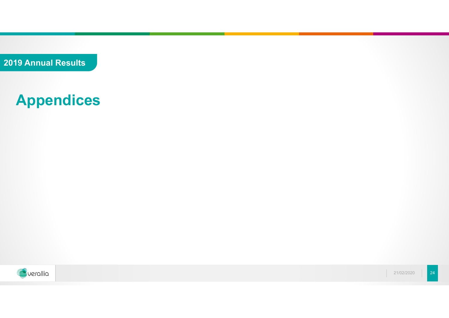**2019 Annual Results**

# **Appendices**



21/02/202024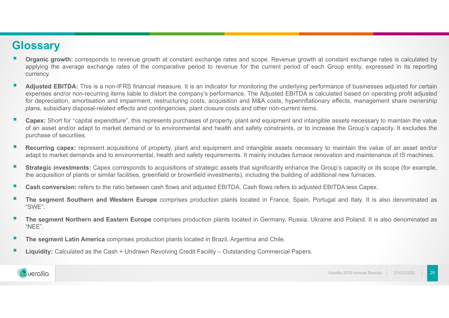#### **Glossary**

- Г **Organic growth:** corresponds to revenue growth at constant exchange rates and scope. Revenue growth at constant exchange rates is calculated by applying the average exchange rates of the comparative period to revenue for the current period of each Group entity, expressed in its reporting currency.
- $\blacksquare$ Adjusted EBITDA: This is a non-IFRS financial measure. It is an indicator for monitoring the underlying performance of businesses adjusted for certain expenses and/or non-recurring items liable to distort the company's performance. The Adjusted EBITDA is calculated based on operating profit adjusted for depreciation, amortisation and impairment, restructuring costs, acquisition and M&A costs, hyperinflationary effects, management share ownership plans, subsidiary disposal-related effects and contingencies, plant closure costs and other non-current items.
- $\blacksquare$  **Capex:** Short for "capital expenditure", this represents purchases of property, plant and equipment and intangible assets necessary to maintain the value of an asset and/or adapt to market demand or to environmental and health and safety constraints, or to increase the Group's capacity. It excludes the purchase of securities.
- $\mathcal{L}$ **Recurring capex:** represent acquisitions of property, plant and equipment and intangible assets necessary to maintain the value of an asset and/or adapt to market demands and to environmental, health and safety requirements. It mainly includes furnace renovation and maintenance of IS machines.
- $\blacksquare$ **Strategic investments:** Capex corresponds to acquisitions of strategic assets that significantly enhance the Group's capacity or its scope (for example, the acquisition of plants or similar facilities, greenfield or brownfield investments), including the building of additional new furnaces.
- $\mathcal{L}_{\mathcal{A}}$ **Cash conversion:** refers to the ratio between cash flows and adjusted EBITDA. Cash flows refers to adjusted EBITDA less Capex.
- ٠ **The segment Southern and Western Europe** comprises production plants located in France, Spain, Portugal and Italy. It is also denominated as "SWE".
- г **The segment Northern and Eastern Europe** comprises production plants located in Germany, Russia, Ukraine and Poland. It is also denominated as "NEE".
- г **The segment Latin America** comprises production plants located in Brazil, Argentina and Chile.
- $\blacksquare$ **Liquidity:** Calculated as the Cash <sup>+</sup> Undrawn Revolving Credit Facility – Outstanding Commercial Papers.

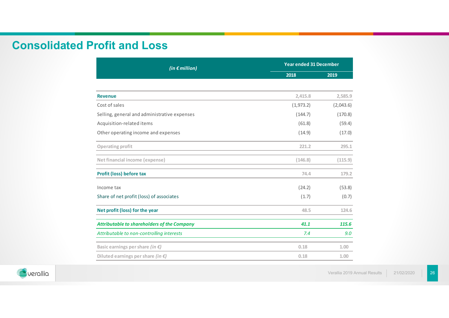#### **Consolidated Profit and Loss**

| (in $\epsilon$ million)                            |            | <b>Year ended 31 December</b> |  |  |
|----------------------------------------------------|------------|-------------------------------|--|--|
|                                                    | 2018       | 2019                          |  |  |
|                                                    |            |                               |  |  |
| <b>Revenue</b>                                     | 2,415.8    | 2,585.9                       |  |  |
| Cost of sales                                      | (1, 973.2) | (2,043.6)                     |  |  |
| Selling, general and administrative expenses       | (144.7)    | (170.8)                       |  |  |
| Acquisition-related items                          | (61.8)     | (59.4)                        |  |  |
| Other operating income and expenses                | (14.9)     | (17.0)                        |  |  |
| <b>Operating profit</b>                            | 221.2      | 295.1                         |  |  |
| Net financial income (expense)                     | (146.8)    | (115.9)                       |  |  |
| Profit (loss) before tax                           | 74.4       | 179.2                         |  |  |
| Income tax                                         | (24.2)     | (53.8)                        |  |  |
| Share of net profit (loss) of associates           | (1.7)      | (0.7)                         |  |  |
| Net profit (loss) for the year                     | 48.5       | 124.6                         |  |  |
| <b>Attributable to shareholders of the Company</b> | 41.1       | 115.6                         |  |  |
| Attributable to non-controlling interests          | 7.4        | 9.0                           |  |  |
| Basic earnings per share (in $\epsilon$ )          | 0.18       | 1.00                          |  |  |
| Diluted earnings per share (in $\epsilon$ )        | 0.18       | 1.00                          |  |  |

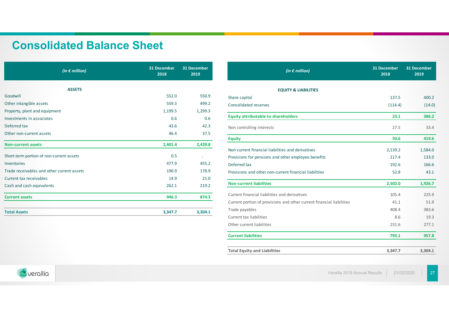#### **Consolidated Balance Sheet**

| (in $\epsilon$ million)                    | 31 December<br>2018 | <b>31 December</b><br>2019 |
|--------------------------------------------|---------------------|----------------------------|
| <b>ASSETS</b>                              |                     |                            |
| Goodwill                                   | 552.0               | 550.9                      |
| Other intangible assets                    | 559.3               | 499.2                      |
| Property, plant and equipment              | 1,199.5             | 1,299.3                    |
| Investments in associates                  | 0.6                 | 0.6                        |
| Deferred tax                               | 43.6                | 42.3                       |
| Other non-current assets                   | 46.4                | 37.5                       |
| <b>Non-current assets</b>                  | 2,401.4             | 2,429.8                    |
| Short-term portion of non-current assets   | 0.5                 |                            |
| Inventories                                | 477.9               | 455.2                      |
| Trade receivables and other current assets | 190.9               | 178.9                      |
| Current tax receivables                    | 14.9                | 21.0                       |
| Cash and cash equivalents                  | 262.1               | 219.2                      |
| <b>Current assets</b>                      | 946.3               | 874.3                      |
| <b>Total Assets</b>                        | 3,347.7             | 3.304.1                    |

| (in $\epsilon$ million)                                               | <b>31 December</b><br>2018 | 31 December<br>2019 |
|-----------------------------------------------------------------------|----------------------------|---------------------|
| <b>EQUITY &amp; LIABILITIES</b>                                       |                            |                     |
| Share capital                                                         | 137.5                      | 400.2               |
| <b>Consolidated reserves</b>                                          | (114.4)                    | (14.0)              |
| <b>Equity attributable to shareholders</b>                            | 23.1                       | 386.2               |
| Non controlling interests                                             | 27.5                       | 33.4                |
| <b>Equity</b>                                                         | 50.6                       | 419.6               |
| Non-current financial liabilities and derivatives                     | 2,139.2                    | 1,584.0             |
| Provisions for pensions and other employee benefits                   | 117.4                      | 133.0               |
| Deferred tax                                                          | 192.6                      | 166.6               |
| Provisions and other non-current financial liabilities                | 52.8                       | 43.1                |
| <b>Non-current liabilities</b>                                        | 2,502.0                    | 1,926.7             |
| Current financial liabilities and derivatives                         | 105.4                      | 225.9               |
| Current portion of provisions and other current financial liabilities | 41.1                       | 51.9                |
| Trade payables                                                        | 408.4                      | 383.6               |
| Current tax liabilities                                               | 8.6                        | 19.3                |
| Other current liabilities                                             | 231.6                      | 277.1               |
| <b>Current liabilities</b>                                            | 795.1                      | 957.8               |
| <b>Total Equity and Liabilities</b>                                   | 3,347.7                    | 3,304.1             |



Verallia 2019 Annual Results | 21/02/2020 | 27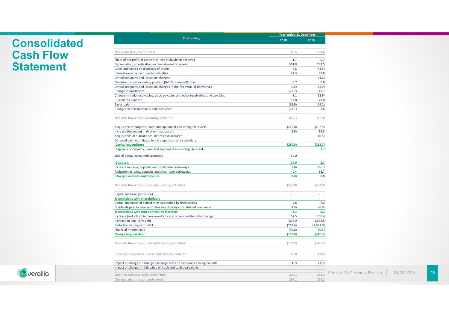#### **Consolidated Cash Flow Statement**

| (in $\epsilon$ million)                                                        | 2018       | 2019                |                              |
|--------------------------------------------------------------------------------|------------|---------------------|------------------------------|
|                                                                                |            |                     |                              |
| Net profit (loss) for the year                                                 | 48.5       | 124.6               |                              |
| Share of net profit of associates, net of dividends received                   | 1.7        | 0.7                 |                              |
| Depreciation, amortisation and impairment of assets                            | 301.8      | 283.5               |                              |
| Gains and losses on disposals of assets                                        | 6.6        | (1.4)               |                              |
| Interest expense on financial liabilities                                      | 92.3       | 68.8                |                              |
| Unrealised gains and losses on changes                                         | $\omega$ . | (1.6)               |                              |
| Gain/loss on net monetary position (IAS 29, Hyperinflation)                    | 0.7        | 5.8                 |                              |
| Unrealised gains and losses on changes in the fair value of derivatives        | (0.5)      | (2.9)               |                              |
| Change in inventories                                                          | (27.7)     | 19.7                |                              |
| Change in trade receivables, trade payables and other receivables and payables | 8.1        | (13.9)              |                              |
| Current tax expense                                                            | 57.8       | 71.0                |                              |
| Taxes paid                                                                     | (38.9)     | (59.1)              |                              |
| Changes in deferred taxes and provisions                                       | (21.1)     | 1.6                 |                              |
|                                                                                |            |                     |                              |
| Net cash flows from operating activities                                       | 429.3      | 496.8               |                              |
| Acquisition of property, plant and equipment and intangible assets             | (225.0)    | (252.5)             |                              |
| Increase (decrease) in debt on fixed assets                                    | (5.6)      | 19.3                |                              |
| Acquisitions of subsidiaries, net of cash acquired                             | $\sim$     | (0.5)               |                              |
| Deferred payment related to the acquisition of a subsidiary                    | à.         | $\omega_{\rm{eff}}$ |                              |
| Capital expenditure                                                            | (230.6)    | (233.7)             |                              |
| Disposals of property, plant and equipment and intangible assets               | $\omega$   | 3.7                 |                              |
| Sale of equity-accounted securities                                            | 14.0       | ÷                   |                              |
| <b>Disposals</b>                                                               | 14.0       | 3.7                 |                              |
| Increase in loans, deposits and short-term borrowings                          | (3.8)      | (5.7)               |                              |
| Reduction in loans, deposits and short-term borrowings                         | 0.4        | 13.7                |                              |
| <b>Changes in loans and deposits</b>                                           | (3.4)      | 8.0                 |                              |
| Net cash flows from (used in) investing activities                             | (220.0)    | (222.0)             |                              |
| Capital increase (reduction)                                                   | ÷.         | $\sim$              |                              |
| <b>Transactions with shareholders</b>                                          | ÷.         | a.                  |                              |
| Capital increases of subsidiaries subscribed by third parties                  | 5.8        | 7.2                 |                              |
| Dividends paid to non-controlling interests by consolidated companies          | (2.5)      | (6.9)               |                              |
| <b>Transactions with non-controlling interests</b>                             | 3.3        | 0.3                 |                              |
| Increase (reduction) in bank overdrafts and other short-term borrowings        | 67.5       | 106.4               |                              |
| Increase in long-term debt                                                     | 607.9      | 1,538.5             |                              |
| Reduction in long-term debt                                                    | (741.4)    | (1,891.0)           |                              |
|                                                                                |            |                     |                              |
| Financial interest paid                                                        | (99.8)     | (70.4)              |                              |
| Change in gross debt                                                           | (165.8)    | (316.5)             |                              |
| Net cash flows from (used in) financing activities                             | (162.5)    | (316.2)             |                              |
| Increase (reduction) in cash and cash equivalents                              | 46.8       | (41.4)              |                              |
| Impact of changes in foreign exchange rates on cash and cash equivalents       | (4.7)      | (1.5)               |                              |
| Impact of changes in fair value on cash and cash equivalents                   | $\sim$     | $\sim$              | Verallia 2019 Annual Results |
| Opening cash and cash equivalents                                              | 220.1      | 262.1               |                              |
| Closing cash and cash equivalents                                              | 262.1      | 219.2               |                              |
|                                                                                |            |                     |                              |

**Year ended 31 December**

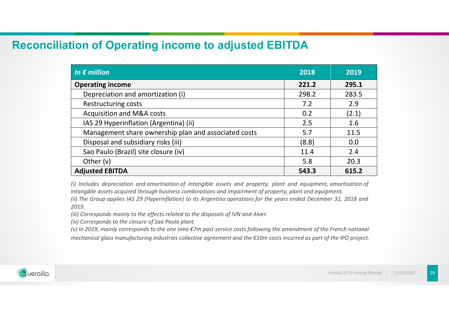#### **Reconciliation of Operating income to adjusted EBITDA**

| In $\epsilon$ million                                | 2018  | 2019  |
|------------------------------------------------------|-------|-------|
| <b>Operating income</b>                              | 221.2 | 295.1 |
| Depreciation and amortization (i)                    | 298.2 | 283.5 |
| <b>Restructuring costs</b>                           | 7.2   | 2.9   |
| <b>Acquisition and M&amp;A costs</b>                 | 0.2   | (2.1) |
| IAS 29 Hyperinflation (Argentina) (ii)               | 2.5   | 1.6   |
| Management share ownership plan and associated costs | 5.7   | 11.5  |
| Disposal and subsidiary risks (iii)                  | (8.8) | 0.0   |
| Sao Paulo (Brazil) site closure (iv)                 | 11.4  | 2.4   |
| Other $(v)$                                          | 5.8   | 20.3  |
| <b>Adjusted EBITDA</b>                               | 543.3 | 615.2 |

(i) Includes depreciation and amortisation of intangible assets and property, plant and equipment, amortisation of *intangible assets acquired through business combinations and impairment of property, plant and equipment.*

*(ii) The Group applies IAS 29 (Hyperinflation) to its Argentina operations for the years ended December 31, 2018 and 2019.* 

*(iii) Corresponds mainly to the effects related to the disposals of IVN and Alver.* 

*(iv) Corresponds to the closure of Sao Paulo plant.* 

*(v) In 2019, mainly corresponds to the one time €7m past service costs following the amendment of the French national mechanical glass manufacturing industries collective agreement and the €10m costs incurred as part of the IPO project.* 

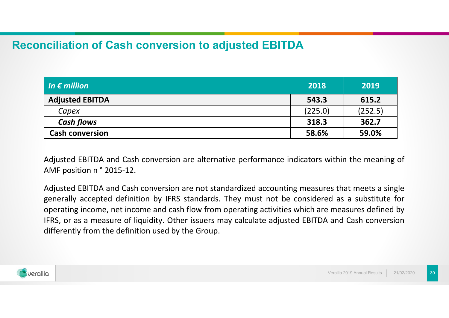#### **Reconciliation of Cash conversion to adjusted EBITDA**

| In $\epsilon$ million  | 2018    | 2019    |
|------------------------|---------|---------|
| <b>Adjusted EBITDA</b> | 543.3   | 615.2   |
| Capex                  | (225.0) | (252.5) |
| <b>Cash flows</b>      | 318.3   | 362.7   |
| <b>Cash conversion</b> | 58.6%   | 59.0%   |

Adjusted EBITDA and Cash conversion are alternative performance indicators within the meaning o f AMF position n ° 2015‐12.

Adjusted EBITDA and Cash conversion are not standardized accounting measures that meets a single generally accepted definition by IFRS standards. They must not be considered as <sup>a</sup> substitute for operating income, net income and cash flow from operating activities which are measures defined by IFRS, or as a measure of liquidity. Other issuers may calculate adjusted EBITDA and Cash conversion differently from the definition used by the Group.

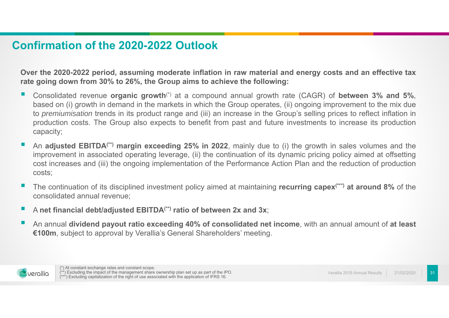## **Confirmation of the 2020-2022 Outlook**

Over the 2020-2022 period, assuming moderate inflation in raw material and energy costs and an effective tax rate going down from 30% to 26%, the Group aims to achieve the following:

- П Consolidated revenue **organic growth**(\*) at <sup>a</sup> compound annual growth rate (CAGR) of **between 3% and 5%**, based on (i) growth in demand in the markets in which the Group operates, (ii) ongoing improvement to the mix due to *premiumisation* trends in its product range and (iii) an increase in the Group's selling prices to reflect inflation in production costs. The Group also expects to benefit from past and future investments to increase its production capacity;
- p. An **adjusted EBITDA(\*\*) margin exceeding 25% in 2022**, mainly due to (i) the growth in sales volumes and the improvement in associated operating leverage, (ii) the continuation of its dynamic pricing policy aimed at offsetting cost increases and (iii) the ongoing implementation of the Performance Action Plan and the reduction of production costs;
- $\mathbb{R}^n$  The continuation of its disciplined investment policy aimed at maintaining **recurring capex(\*\*\*) at around 8%** of the consolidated annual revenue;
- $\overline{\phantom{a}}$ A **net financial debt/adjusted EBITDA(\*\*) ratio of between 2x and 3x**;
- $\overline{\phantom{a}}$ An annual dividend payout ratio exceeding 40% of consolidated net income, with an annual amount of at least **€100m**, subject to approval by Verallia's General Shareholders' meeting.



31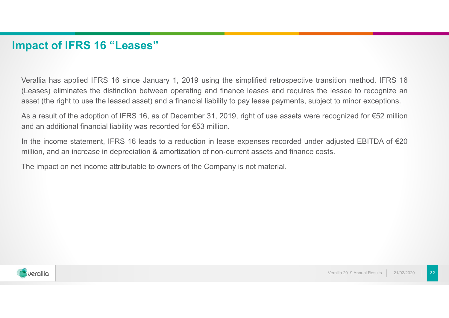#### **Impact of IFRS 16 "Leases"**

Verallia has applied IFRS 16 since January 1, 2019 using the simplified retrospective transition method. IFRS 16 (Leases) eliminates the distinction between operating and finance leases and requires the lessee to recognize an asset (the right to use the leased asset) and <sup>a</sup> financial liability to pay lease payments, subject to minor exceptions.

As <sup>a</sup> result of the adoption of IFRS 16, as of December 31, 2019, right of use assets were recognized for €52 million and an additional financial liability was recorded for €53 million.

In the income statement, IFRS 16 leads to <sup>a</sup> reduction in lease expenses recorded under adjusted EBITDA of €20 million, and an increase in depreciation & amortization of non-current assets and finance costs.

The impact on net income attributable to owners of the Company is not material.

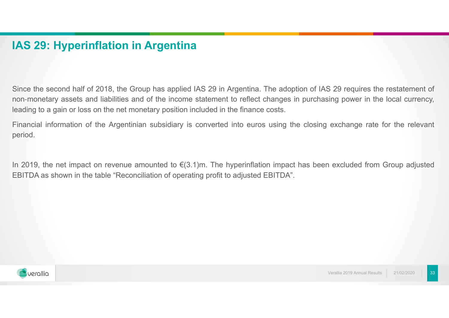#### **IAS 29: Hyperinflation in Argentina**

Since the second half of 2018, the Group has applied IAS 29 in Argentina. The adoption of IAS 29 requires the restatement of non-monetary assets and liabilities and of the income statement to reflect changes in purchasing power in the local currency, leading to <sup>a</sup> gain or loss on the net monetary position included in the finance costs.

Financial information of the Argentinian subsidiary is converted into euros using the closing exchange rate for the relevant period.

In 2019, the net impact on revenue amounted to €(3.1)m. The hyperinflation impact has been excluded from Group adjusted EBITDA as shown in the table "Reconciliation of operating profit to adjusted EBITDA".